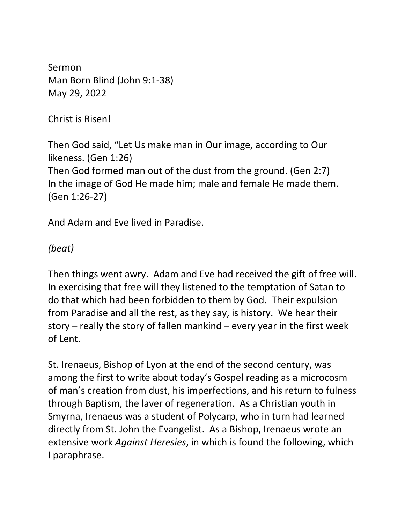Sermon Man Born Blind (John 9:1-38) May 29, 2022

Christ is Risen!

Then God said, "Let Us make man in Our image, according to Our likeness. (Gen 1:26) Then God formed man out of the dust from the ground. (Gen 2:7) In the image of God He made him; male and female He made them. (Gen 1:26-27)

And Adam and Eve lived in Paradise.

*(beat)*

Then things went awry. Adam and Eve had received the gift of free will. In exercising that free will they listened to the temptation of Satan to do that which had been forbidden to them by God. Their expulsion from Paradise and all the rest, as they say, is history. We hear their story – really the story of fallen mankind – every year in the first week of Lent.

St. Irenaeus, Bishop of Lyon at the end of the second century, was among the first to write about today's Gospel reading as a microcosm of man's creation from dust, his imperfections, and his return to fulness through Baptism, the laver of regeneration. As a Christian youth in Smyrna, Irenaeus was a student of Polycarp, who in turn had learned directly from St. John the Evangelist. As a Bishop, Irenaeus wrote an extensive work *Against Heresies*, in which is found the following, which I paraphrase.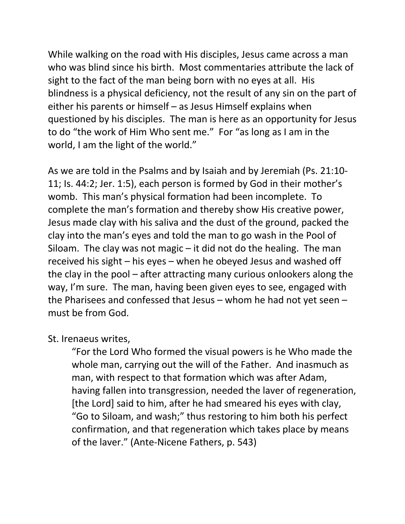While walking on the road with His disciples, Jesus came across a man who was blind since his birth. Most commentaries attribute the lack of sight to the fact of the man being born with no eyes at all. His blindness is a physical deficiency, not the result of any sin on the part of either his parents or himself – as Jesus Himself explains when questioned by his disciples. The man is here as an opportunity for Jesus to do "the work of Him Who sent me." For "as long as I am in the world, I am the light of the world."

As we are told in the Psalms and by Isaiah and by Jeremiah (Ps. 21:10- 11; Is. 44:2; Jer. 1:5), each person is formed by God in their mother's womb. This man's physical formation had been incomplete. To complete the man's formation and thereby show His creative power, Jesus made clay with his saliva and the dust of the ground, packed the clay into the man's eyes and told the man to go wash in the Pool of Siloam. The clay was not magic  $-$  it did not do the healing. The man received his sight – his eyes – when he obeyed Jesus and washed off the clay in the pool – after attracting many curious onlookers along the way, I'm sure. The man, having been given eyes to see, engaged with the Pharisees and confessed that Jesus – whom he had not yet seen – must be from God.

St. Irenaeus writes,

"For the Lord Who formed the visual powers is he Who made the whole man, carrying out the will of the Father. And inasmuch as man, with respect to that formation which was after Adam, having fallen into transgression, needed the laver of regeneration, [the Lord] said to him, after he had smeared his eyes with clay, "Go to Siloam, and wash;" thus restoring to him both his perfect confirmation, and that regeneration which takes place by means of the laver." (Ante-Nicene Fathers, p. 543)